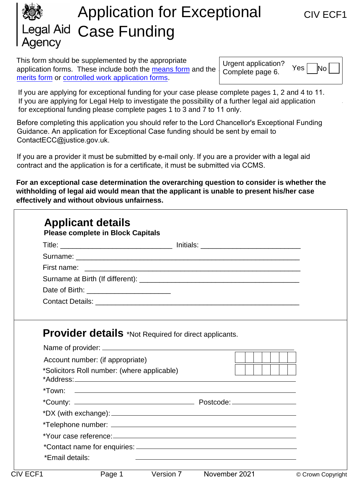# Application for Exceptional CIV ECF1 egal Aid Case Funding Agency

This form should be supplemented by the appropriate application forms. These include both the [means form](https://www.gov.uk/government/collections/civil-legal-aid-financial-assessment-forms) and the merits form or controlled work application forms.

Urgent application? Complete page 6.

 $Yes | No$ 

If you are applying for exceptional funding for your case please complete pages 1, 2 and 4 to 11. [If you are ap](https://www.gov.uk/government/collections/civil-legal-aid-application-forms)[plying for Legal Help to investigate](https://www.gov.uk/government/collections/controlled-work-application-forms) the possibility of a further legal aid application for exceptional funding please complete pages 1 to 3 and 7 to 11 only.

Before completing this application you should refer to the Lord Chancellor's Exceptional Funding Guidance. An application for Exceptional Case funding should be sent by email to ContactECC@justice.gov.uk.

If you are a provider it must be submitted by e-mail only. If you are a provider with a legal aid contract and the application is for a certificate, it must be submitted via CCMS.

**For an exceptional case determination the overarching question to consider is whether the withholding of legal aid would mean that the applicant is unable to present his/her case effectively and without obvious unfairness.**

| <b>Provider details</b> *Not Required for direct applicants.                    |  |
|---------------------------------------------------------------------------------|--|
|                                                                                 |  |
| Account number: (if appropriate)<br>*Solicitors Roll number: (where applicable) |  |
|                                                                                 |  |
|                                                                                 |  |
|                                                                                 |  |
|                                                                                 |  |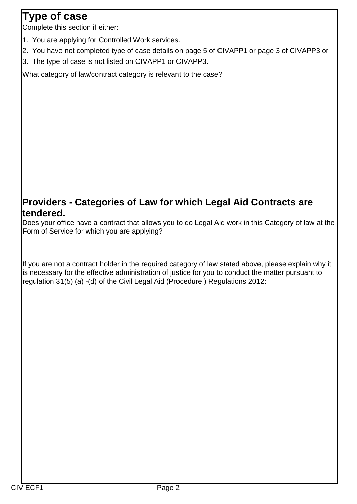## **Type of case**

Complete this section if either:

- 1. You are applying for Controlled Work services.
- 2. You have not completed type of case details on page 5 of CIVAPP1 or page 3 of CIVAPP3 or
- 3. The type of case is not listed on CIVAPP1 or CIVAPP3.

What category of law/contract category is relevant to the case?

## **Providers - Categories of Law for which Legal Aid Contracts are tendered.**

Does your office have a contract that allows you to do Legal Aid work in this Category of law at the Form of Service for which you are applying?

If you are not a contract holder in the required category of law stated above, please explain why it is necessary for the effective administration of justice for you to conduct the matter pursuant to regulation 31(5) (a) -(d) of the Civil Legal Aid (Procedure ) Regulations 2012: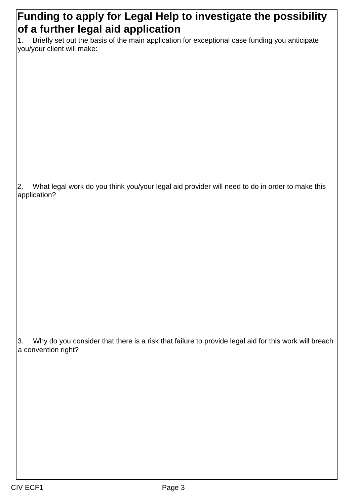## **Funding to apply for Legal Help to investigate the possibility of a further legal aid application**

1. Briefly set out the basis of the main application for exceptional case funding you anticipate you/your client will make:

2. What legal work do you think you/your legal aid provider will need to do in order to make this application?

3. Why do you consider that there is a risk that failure to provide legal aid for this work will breach a convention right?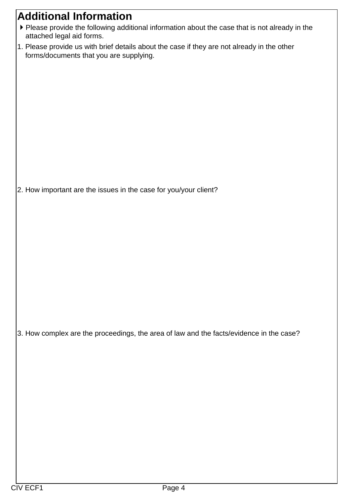## **Additional Information**

- Please provide the following additional information about the case that is not already in the attached legal aid forms.
- 1. Please provide us with brief details about the case if they are not already in the other forms/documents that you are supplying.

2. How important are the issues in the case for you/your client?

3. How complex are the proceedings, the area of law and the facts/evidence in the case?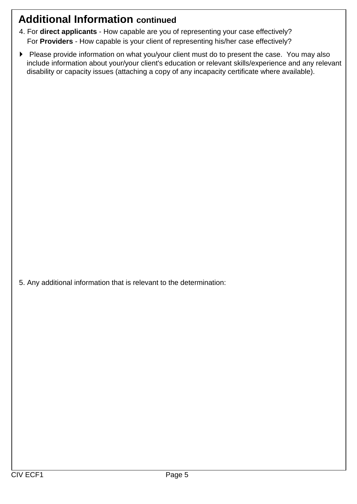## **Additional Information continued**

- 4. For **direct applicants** How capable are you of representing your case effectively? For **Providers** - How capable is your client of representing his/her case effectively?
- Please provide information on what you/your client must do to present the case. You may also include information about your/your client's education or relevant skills/experience and any relevant disability or capacity issues (attaching a copy of any incapacity certificate where available).

5. Any additional information that is relevant to the determination: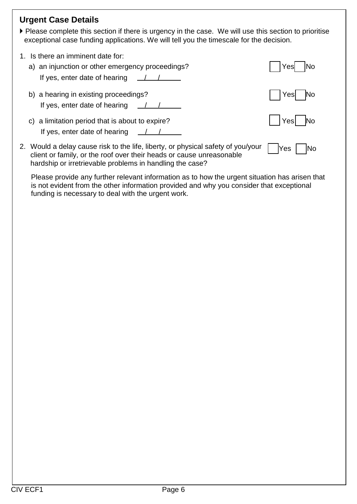| <b>Urgent Case Details</b><br>▶ Please complete this section if there is urgency in the case. We will use this section to prioritise<br>exceptional case funding applications. We will tell you the timescale for the decision.                  |                   |
|--------------------------------------------------------------------------------------------------------------------------------------------------------------------------------------------------------------------------------------------------|-------------------|
| 1. Is there an imminent date for:<br>a) an injunction or other emergency proceedings?<br>If yes, enter date of hearing<br>$\frac{1}{2}$                                                                                                          | No<br>Yes         |
| b) a hearing in existing proceedings?<br>If yes, enter date of hearing<br>$\frac{1}{2}$                                                                                                                                                          | lNo<br>Yesl       |
| a limitation period that is about to expire?<br>C)<br>If yes, enter date of hearing $\angle \angle \angle$                                                                                                                                       | Yes               |
| 2. Would a delay cause risk to the life, liberty, or physical safety of you/your<br>client or family, or the roof over their heads or cause unreasonable<br>hardship or irretrievable problems in handling the case?                             | <b>Yes</b><br> No |
| Please provide any further relevant information as to how the urgent situation has arisen that<br>is not evident from the other information provided and why you consider that exceptional<br>funding is necessary to deal with the urgent work. |                   |
|                                                                                                                                                                                                                                                  |                   |
|                                                                                                                                                                                                                                                  |                   |
|                                                                                                                                                                                                                                                  |                   |
|                                                                                                                                                                                                                                                  |                   |
|                                                                                                                                                                                                                                                  |                   |
|                                                                                                                                                                                                                                                  |                   |
|                                                                                                                                                                                                                                                  |                   |
|                                                                                                                                                                                                                                                  |                   |
|                                                                                                                                                                                                                                                  |                   |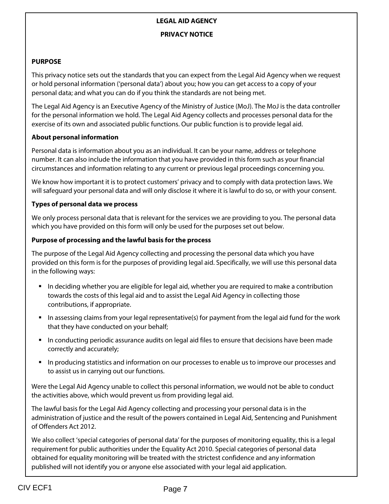### **LEGAL AID AGENCY**

### **PRIVACY NOTICE**

### **PURPOSE**

This privacy notice sets out the standards that you can expect from the Legal Aid Agency when we request or hold personal information ('personal data') about you; how you can get access to a copy of your personal data; and what you can do if you think the standards are not being met.

The Legal Aid Agency is an Executive Agency of the Ministry of Justice (MoJ). The MoJ is the data controller for the personal information we hold. The Legal Aid Agency collects and processes personal data for the exercise of its own and associated public functions. Our public function is to provide legal aid.

### **About personal information**

Personal data is information about you as an individual. It can be your name, address or telephone number. It can also include the information that you have provided in this form such as your financial circumstances and information relating to any current or previous legal proceedings concerning you.

We know how important it is to protect customers' privacy and to comply with data protection laws. We will safeguard your personal data and will only disclose it where it is lawful to do so, or with your consent.

### **Types of personal data we process**

We only process personal data that is relevant for the services we are providing to you. The personal data which you have provided on this form will only be used for the purposes set out below.

### **Purpose of processing and the lawful basis for the process**

The purpose of the Legal Aid Agency collecting and processing the personal data which you have provided on this form is for the purposes of providing legal aid. Specifically, we will use this personal data in the following ways:

- In deciding whether you are eligible for legal aid, whether you are required to make a contribution towards the costs of this legal aid and to assist the Legal Aid Agency in collecting those contributions, if appropriate.
- In assessing claims from your legal representative(s) for payment from the legal aid fund for the work that they have conducted on your behalf;
- **In conducting periodic assurance audits on legal aid files to ensure that decisions have been made** correctly and accurately;
- In producing statistics and information on our processes to enable us to improve our processes and to assist us in carrying out our functions.

Were the Legal Aid Agency unable to collect this personal information, we would not be able to conduct the activities above, which would prevent us from providing legal aid.

The lawful basis for the Legal Aid Agency collecting and processing your personal data is in the administration of justice and the result of the powers contained in Legal Aid, Sentencing and Punishment of Offenders Act 2012.

We also collect 'special categories of personal data' for the purposes of monitoring equality, this is a legal requirement for public authorities under the Equality Act 2010. Special categories of personal data obtained for equality monitoring will be treated with the strictest confidence and any information published will not identify you or anyone else associated with your legal aid application.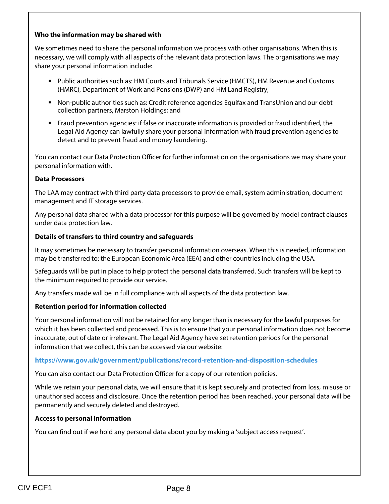#### **Who the information may be shared with**

We sometimes need to share the personal information we process with other organisations. When this is necessary, we will comply with all aspects of the relevant data protection laws. The organisations we may share your personal information include:

- **Public authorities such as: HM Courts and Tribunals Service (HMCTS), HM Revenue and Customs** (HMRC), Department of Work and Pensions (DWP) and HM Land Registry;
- Non-public authorities such as: Credit reference agencies Equifax and TransUnion and our debt collection partners, Marston Holdings; and
- Fraud prevention agencies: if false or inaccurate information is provided or fraud identified, the Legal Aid Agency can lawfully share your personal information with fraud prevention agencies to detect and to prevent fraud and money laundering.

You can contact our Data Protection Officer for further information on the organisations we may share your personal information with.

#### **Data Processors**

The LAA may contract with third party data processors to provide email, system administration, document management and IT storage services.

Any personal data shared with a data processor for this purpose will be governed by model contract clauses under data protection law.

#### **Details of transfers to third country and safeguards**

It may sometimes be necessary to transfer personal information overseas. When this is needed, information may be transferred to: the European Economic Area (EEA) and other countries including the USA.

Safeguards will be put in place to help protect the personal data transferred. Such transfers will be kept to the minimum required to provide our service.

Any transfers made will be in full compliance with all aspects of the data protection law.

#### **Retention period for information collected**

Your personal information will not be retained for any longer than is necessary for the lawful purposes for which it has been collected and processed. This is to ensure that your personal information does not become inaccurate, out of date or irrelevant. The Legal Aid Agency have set retention periods for the personal information that we collect, this can be accessed via our website:

#### **https://www.gov.uk/government/publications/record-retention-and-disposition-schedules**

You can also contact our Data Protection Officer for a copy of our retention policies.

While we retain your personal data, we will ensure that it is kept securely and protected from loss, misuse or unauthorised access and disclosure. Once the retention period has been reached, your personal data will be permanently and securely deleted and destroyed.

#### **Access to personal information**

You can find out if we hold any personal data about you by making a 'subject access request'.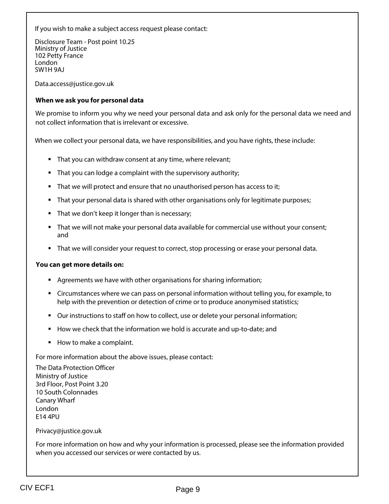If you wish to make a subject access request please contact:

Disclosure Team - Post point 10.25 Ministry of Justice 102 Petty France London SW1H 9AJ

Data.access@justice.gov.uk

#### **When we ask you for personal data**

We promise to inform you why we need your personal data and ask only for the personal data we need and not collect information that is irrelevant or excessive.

When we collect your personal data, we have responsibilities, and you have rights, these include:

- **That you can withdraw consent at any time, where relevant;**
- That you can lodge a complaint with the supervisory authority;
- That we will protect and ensure that no unauthorised person has access to it;
- That your personal data is shared with other organisations only for legitimate purposes;
- That we don't keep it longer than is necessary;
- That we will not make your personal data available for commercial use without your consent; and
- That we will consider your request to correct, stop processing or erase your personal data.

#### **You can get more details on:**

- Agreements we have with other organisations for sharing information;
- Circumstances where we can pass on personal information without telling you, for example, to help with the prevention or detection of crime or to produce anonymised statistics;
- Our instructions to staff on how to collect, use or delete your personal information;
- How we check that the information we hold is accurate and up-to-date; and
- How to make a complaint.

For more information about the above issues, please contact:

The Data Protection Officer Ministry of Justice 3rd Floor, Post Point 3.20 10 South Colonnades Canary Wharf London E14 4PU

#### Privacy@justice.gov.uk

For more information on how and why your information is processed, please see the information provided when you accessed our services or were contacted by us.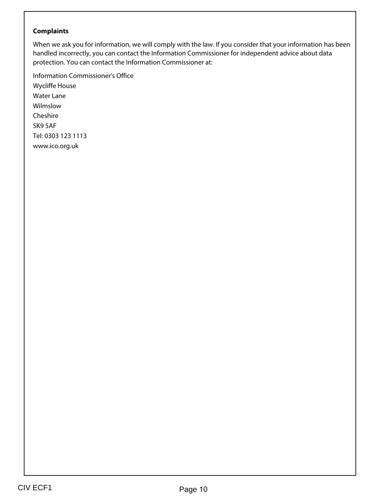### **Complaints**

When we ask you for information, we will comply with the law. If you consider that your information has been handled incorrectly, you can contact the Information Commissioner for independent advice about data protection. You can contact the Information Commissioner at:

Information Commissioner's Office Wycliffe House Water Lane Wilmslow Cheshire SK9 5AF Tel: 0303 123 1113 www.ico.org.uk